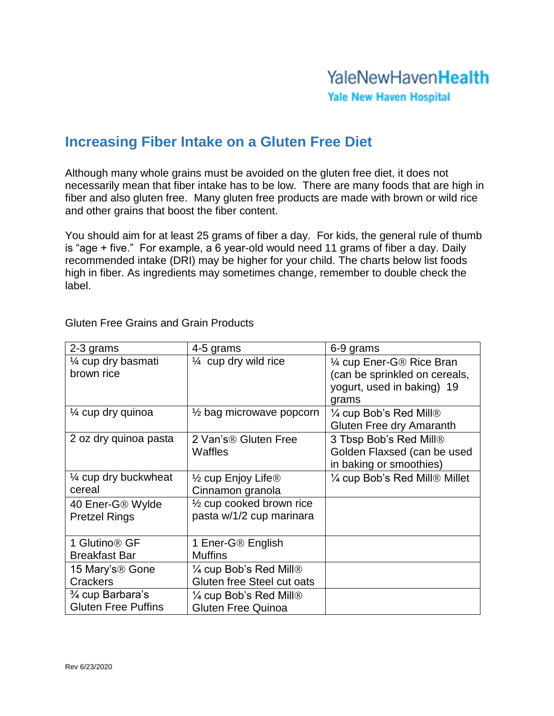## **YaleNewHavenHealth Yale New Haven Hospital**

## **Increasing Fiber Intake on a Gluten Free Diet**

Although many whole grains must be avoided on the gluten free diet, it does not necessarily mean that fiber intake has to be low. There are many foods that are high in fiber and also gluten free. Many gluten free products are made with brown or wild rice and other grains that boost the fiber content.

You should aim for at least 25 grams of fiber a day. For kids, the general rule of thumb is "age + five." For example, a 6 year-old would need 11 grams of fiber a day. Daily recommended intake (DRI) may be higher for your child. The charts below list foods high in fiber. As ingredients may sometimes change, remember to double check the label.

| 2-3 grams                                                               | 4-5 grams                                                       | 6-9 grams                                                                                         |
|-------------------------------------------------------------------------|-----------------------------------------------------------------|---------------------------------------------------------------------------------------------------|
| 1⁄4 cup dry basmati<br>brown rice                                       | $\frac{1}{4}$ cup dry wild rice                                 | 1/4 cup Ener-G® Rice Bran<br>(can be sprinkled on cereals,<br>yogurt, used in baking) 19<br>grams |
| 1⁄4 cup dry quinoa                                                      | $\frac{1}{2}$ bag microwave popcorn                             | $\frac{1}{4}$ cup Bob's Red Mill®<br>Gluten Free dry Amaranth                                     |
| 2 oz dry quinoa pasta                                                   | 2 Van's <sup>®</sup> Gluten Free<br><b>Waffles</b>              | 3 Tbsp Bob's Red Mill®<br>Golden Flaxsed (can be used<br>in baking or smoothies)                  |
| 1/4 cup dry buckwheat<br>cereal                                         | $\frac{1}{2}$ cup Enjoy Life <sup>®</sup><br>Cinnamon granola   | 1/4 cup Bob's Red Mill® Millet                                                                    |
| 40 Ener-G® Wylde<br><b>Pretzel Rings</b>                                | $\frac{1}{2}$ cup cooked brown rice<br>pasta w/1/2 cup marinara |                                                                                                   |
| 1 Glutino <sup>®</sup> GF<br><b>Breakfast Bar</b>                       | 1 Ener-G® English<br><b>Muffins</b>                             |                                                                                                   |
| 15 Mary's <sup>®</sup> Gone<br><b>Crackers</b>                          | $\frac{1}{4}$ cup Bob's Red Mill®<br>Gluten free Steel cut oats |                                                                                                   |
| <sup>3</sup> / <sub>4</sub> cup Barbara's<br><b>Gluten Free Puffins</b> | $\frac{1}{4}$ cup Bob's Red Mill®<br><b>Gluten Free Quinoa</b>  |                                                                                                   |

Gluten Free Grains and Grain Products